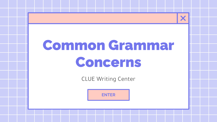# Common Grammar Concerns

CLUE Writing Center

**[ENTER](#page-2-0)**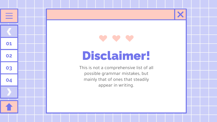## Disclaimer!

X

**[01](#page-3-0)**

 $\equiv$ 

an di

**[02](#)**

**[03](#)**

**[04](#)**

This is not a comprehensive list of all possible grammar mistakes, but mainly that of ones that steadily appear in writing.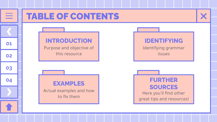<span id="page-2-0"></span>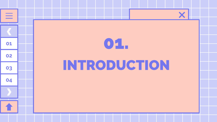<span id="page-3-0"></span>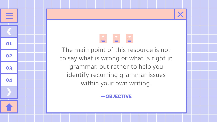### $\mathbf{H} = \mathbf{H}$

**[01](#page-3-0)**

 $\equiv$ 

**[02](#)**

**[03](#)**

**[04](#)**

The main point of this resource is not to say what is wrong or what is right in grammar, but rather to help you identify recurring grammar issues within your own writing.

**—OBJECTIVE**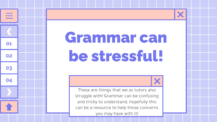# Grammar can be stressful!

**[01](#page-3-0)**

 $\equiv$ 

**[02](#)**

**[03](#)**

**[04](#)**



These are things that we as tutors also struggle with! Grammar can be confusing and tricky to understand, hopefully this can be a resource to help those concerns you may have with it!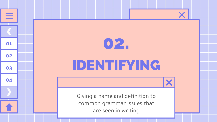# IDENTIFYING 02. **[01](#page-3-0)**

**[02](#)**

<span id="page-6-0"></span> $\equiv$ 

┳

**[03](#)**

**[04](#)**

Giving a name and definition to common grammar issues that are seen in writing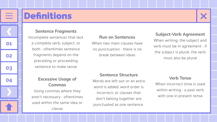

### **Definitions**

**Sentence Fragments** 

Incomplete sentences that lack a complete verb, subject, or both - oftentimes sentence fragments depend on the preceding or proceeding sentence to make sense

> **Excessive Usage of Commas**

Using commas where they aren't necessary - oftentimes used within the same idea or clause

#### **Run on Sentences**

When two main clauses have no punctuation - there is no break between ideas

#### **Subject-Verb Agreement**

When writing, the subject and verb must be in agreement - if the subject is plural, the verb must also be plural

#### **Sentence Structure**

Words are left out or an extra word is added; word order is incorrect; or clauses that don't belong together are punctuated as one sentence.

#### **Verb Tense**

When incorrect time is used within writing - a past verb with one in present tense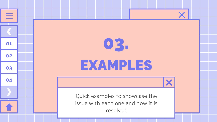<span id="page-8-0"></span>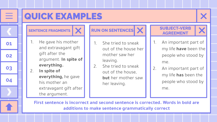

### QUICK EXAMPLES

- 1. He gave his mother and extravagant gift gift after the argument. **In spite of everything.**
- 2. **In spite of everything,** he gave his mother an extravagant gift after the argument.

### SENTENCE FRAGMENTS  $\mathbf{X}$  **RUN ON SENTENCES**  $\mathbf{X}$  **SUBJECT-VERB**

- 1. She tried to sneak out of the house her mother saw her leaving.
- 2. She tried to sneak out of the house, **but** her mother saw her leaving.

### **AGREEMENT**

- 1. An important part of my life **have** been the people who stood by me.
- 2. An important part of my life **has** been the people who stood by me.

**First sentence is incorrect and second sentence is corrected. Words in bold are additions to make sentence grammatically correct**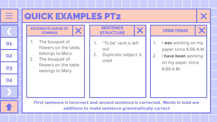

- 
- 1. I **was** working on my paper since 6:00 A.M.
- 2. I **have been** working on my paper since 6:00 A.M.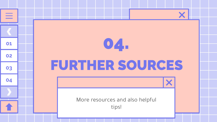# FURTHER SOURCES More resources and also helpful tips! [01](#page-3-0). **04.**

**[02](#)**

<span id="page-11-0"></span> $\equiv$ 

┳

**[03](#)**

**[04](#)**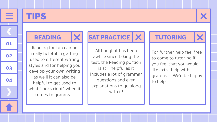

### TIPS

**READING** X

Reading for fun can be really helpful in getting used to different writing styles and for helping you develop your own writing as well! It can also be helpful to get used to what "looks right" when it comes to grammar.

**SAT PRACTICE | X | | TUTORING** 

Although it has been awhile since taking the test, the Reading portion is still helpful as it includes a lot of grammar questions and even explanations to go along with it!

For further help feel free to come to tutoring if you feel that you would like extra help with grammar! We'd be happy to help!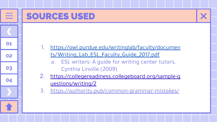### SOURCES USED

**[01](#page-3-0)**

≣

**[02](#)**

**[03](#)**

**[04](#)**

- 1. [https://owl.purdue.edu/writinglab/faculty/documen](https://owl.purdue.edu/writinglab/faculty/documents/Writing_Lab_ESL_Faculty_Guide_2017.pdf) [ts/Writing\\_Lab\\_ESL\\_Faculty\\_Guide\\_2017.pdf](https://owl.purdue.edu/writinglab/faculty/documents/Writing_Lab_ESL_Faculty_Guide_2017.pdf)
	- a. ESL writers: A guide for writing center tutors, Cynthia Linville (2009)
- 2. [https://collegereadiness.collegeboard.org/sample-q](https://collegereadiness.collegeboard.org/sample-questions/writing/2) [uestions/writing/2](https://collegereadiness.collegeboard.org/sample-questions/writing/2)
- 3. <https://authority.pub/common-grammar-mistakes/>